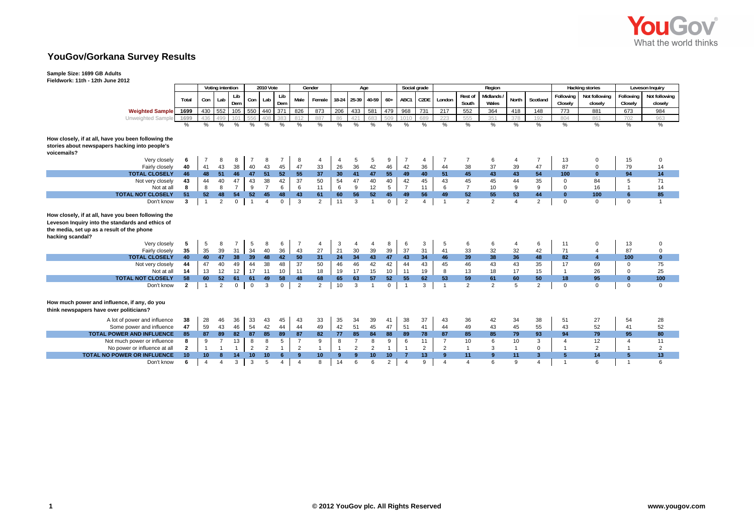

## **YouGov/Gorkana Survey Results**

## **Sample Size: 1699 GB Adults**

**Fieldwork: 11th - 12th June 2012**

|                                                                                                                                                                           |                | Voting intention |                |                | 2010 Vote       |                |              | Gender         |                | Age             |                |                |                | Social grade           |                | Region         |                  |                   |                |                |                      | <b>Hacking stories</b>   | Leveson Inquiry      |                          |
|---------------------------------------------------------------------------------------------------------------------------------------------------------------------------|----------------|------------------|----------------|----------------|-----------------|----------------|--------------|----------------|----------------|-----------------|----------------|----------------|----------------|------------------------|----------------|----------------|------------------|-------------------|----------------|----------------|----------------------|--------------------------|----------------------|--------------------------|
|                                                                                                                                                                           | Total          | Con              | Lab            | Lib<br>Dem     | Con             | Lab            | Lib<br>Dem   | Male           | Female         |                 | 18-24 25-39    | 40-59          | $60+$          | ABC1                   | C2DE           | London         | Rest of<br>South | Midlands<br>Wales | North          | Scotland       | Following<br>Closely | Not following<br>closely | Following<br>Closely | Not following<br>closely |
| <b>Weighted Sample</b>                                                                                                                                                    | 1699           | 430              | 552            | 105            | 550             | 440 371        |              | 826            | 873            | 206             | 433            | 581            | 479            | 968                    | 731            | 217            | 552              | 364               | 418            | 148            | 773                  | 881                      | 673                  | 984                      |
| Unweighted Sample                                                                                                                                                         | 1699           | 436              |                | 101            | 556             |                | 383          | 812            | 887            | 86              | 421            | 683            | 509            | 1010                   | 689            | 223            | 555              | 351               | 378            | 192            | 804                  | 861                      | 702                  | 963                      |
|                                                                                                                                                                           | $\frac{0}{0}$  | $\frac{1}{2}$    | %              | %              | %               | %              | %            | $\%$           | $\frac{9}{6}$  | $\frac{9}{6}$   | $\frac{1}{2}$  | $\frac{0}{6}$  | $\%$           | $\%$                   | $\frac{0}{0}$  | $\frac{0}{n}$  | $\frac{9}{6}$    | $\frac{1}{2}$     | %              | $\frac{1}{2}$  | $\frac{1}{2}$        | $\frac{0}{6}$            | $\frac{0}{6}$        | %                        |
| How closely, if at all, have you been following the<br>stories about newspapers hacking into people's<br>voicemails?                                                      |                |                  |                |                |                 |                |              |                |                |                 |                |                |                |                        |                |                |                  |                   |                |                |                      |                          |                      |                          |
| Very closely                                                                                                                                                              | 6              | 7                | 8              | 8              |                 | 8              | 7            | 8              | $\overline{4}$ | 4               | 5              | 5              | 9              |                        | 4              |                |                  | 6                 | 4              | $\overline{7}$ | 13                   | $\mathbf 0$              | 15                   | 0                        |
| Fairly closely                                                                                                                                                            | 40             | 41               | 43             | 38             | 40              | 43             | 45           | 47             | 33             | 26              | 36             | 42             | 46             | 42                     | 36             | 44             | 38               | 37                | 39             | 47             | 87                   | $\Omega$                 | 79                   | 14                       |
| <b>TOTAL CLOSELY</b>                                                                                                                                                      | 46             | 48               | 51             | 46             | 47              | 51             | 52           | 55             | 37             | 30 <sub>2</sub> | 41             | 47             | 55             | 49                     | 40             | 51             | 45               | 43                | 43             | 54             | 100                  | $\mathbf{0}$             | 94                   | $14$                     |
| Not very closely                                                                                                                                                          | 43             | 44               | 40             | 47             | 43              | 38             | 42           | 37             | 50             | 54              | 47             | 40             | 40             | 42                     | 45             | 43             | 45               | 45                | 44             | 35             | $\mathbf{0}$         | 84                       | 5                    | 71                       |
| Not at all                                                                                                                                                                | 8              | 8                | 8              | $\overline{7}$ | 9               | $\overline{7}$ | 6            | 6              | 11             | 6               | 9              | 12             | 5              | $\overline{7}$         | 11             | 6              | $\overline{7}$   | 10                | 9              | 9              | $\mathbf 0$          | 16                       | -1                   | 14                       |
| <b>TOTAL NOT CLOSELY</b>                                                                                                                                                  | 51             | 52               | 48             | 54             | 52              | 45             | 48           | 43             | 61             | 60              | 56             | 52             | 45             | 49                     | 56             | 49             | 52               | 55                | 53             | 44             | $\Omega$             | 100                      | 6                    | 85                       |
| Don't know                                                                                                                                                                | 3              | $\overline{1}$   | $\overline{2}$ | 0              | $\overline{1}$  | $\overline{4}$ | $\mathbf 0$  | $\mathbf{3}$   | $\overline{2}$ | 11              | 3              | $\overline{1}$ | $\mathbf 0$    | $\overline{2}$         | $\overline{4}$ | $\overline{1}$ | 2                | 2                 | $\overline{a}$ | $\overline{2}$ | $\mathbf 0$          | $\Omega$                 | $\mathbf 0$          | $\overline{1}$           |
| How closely, if at all, have you been following the<br>Leveson Inquiry into the standards and ethics of<br>the media, set up as a result of the phone<br>hacking scandal? |                |                  |                |                |                 |                |              |                |                |                 |                |                |                |                        |                |                |                  |                   |                |                |                      |                          |                      |                          |
| Very closely                                                                                                                                                              | 5              | 5                | 8              | 7              | 5               | 8              | 6            | -7             | $\overline{4}$ | 3               | 4              | $\overline{4}$ | 8              | 6                      | 3              | 5              | 6                | 6                 | $\overline{4}$ | 6              | 11                   | $\Omega$                 | 13                   | 0                        |
| Fairly closely                                                                                                                                                            | 35             | 35               | 39             | 31             | 34              | 40             | 36           | 43             | 27             | 21              | 30             | 39             | 39             | 37                     | 31             | 41             | 33               | 32                | 32             | 42             | 71                   | $\overline{\mathbf{4}}$  | 87                   | $\mathbf 0$              |
| <b>TOTAL CLOSELY</b>                                                                                                                                                      | 40             | 40               | 47             | 38             | 39              | 48             | 42           | 50             | 31             | 24              | 34             | 43             | 47             | 43                     | 34             | 46             | 39               | 38                | 36             | 48             | 82                   | 4                        | 100                  | $\mathbf{0}$             |
| Not very closely                                                                                                                                                          | 44             | 47               | 40             | 49             | 44              | 38             | 48           | 37             | 50             | 46              | 46             | 42             | 42             | 44                     | 43             | 45             | 46               | 43                | 43             | 35             | 17                   | 69                       | 0                    | 75                       |
| Not at all                                                                                                                                                                | 14             | 13               | 12             | 12             | 17              | 11             | 10           | 11             | 18             | 19              | 17             | 15             | 10             | 11                     | 19             | 8              | 13               | 18                | 17             | 15             | $\overline{1}$       | 26                       | $\mathbf 0$          | 25                       |
| <b>TOTAL NOT CLOSELY</b>                                                                                                                                                  | 58             | 60               | 52             | 61             | 61              | 49             | 58           | 48             | 68             | 65              | 63             | 57             | 52             | 55                     | 62             | 53             | 59               | 61                | 60             | 50             | 18                   | 95                       | $\mathbf{0}$         | 100                      |
| Don't know                                                                                                                                                                | $\overline{2}$ | $\overline{1}$   | $\overline{2}$ | 0              | $\mathbf 0$     | 3              | $\mathbf{0}$ | $\overline{2}$ | $\overline{2}$ | 10              | 3              |                | $\mathbf 0$    | $\overline{1}$         | 3              |                | $\overline{2}$   | $\overline{2}$    | 5              | $\overline{2}$ | $\mathbf 0$          | $\Omega$                 | $\Omega$             | $\mathbf 0$              |
| How much power and influence, if any, do you<br>think newspapers have over politicians?                                                                                   |                |                  |                |                |                 |                |              |                |                |                 |                |                |                |                        |                |                |                  |                   |                |                |                      |                          |                      |                          |
| A lot of power and influence                                                                                                                                              | 38             | 28               | 46             | 36             | 33              | 43             | 45           | 43             | 33             | 35              | 34             | 39             | 41             | 38                     | 37             | 43             | 36               | 42                | 34             | 38             | 51                   | 27                       | 54                   | 28                       |
| Some power and influence                                                                                                                                                  | 47             | 59               | 43             | 46             | 54              | 42             | 44           | 44             | 49             | 42              | 51             | 45             | 47             | 51                     | 41             | 44             | 49               | 43                | 45             | 55             | 43                   | 52                       | 41                   | 52                       |
| TOTAL POWER AND INFLUENCE                                                                                                                                                 | 85             | 87               | 89             | 82             | 87              | 85             | 89           | 87             | 82             | 77              | 85             | 84             | 88             | 89                     | 78             | 87             | 85               | 85                | 79             | 93             | 94                   | 79                       | 95                   | 80                       |
| Not much power or influence                                                                                                                                               | 8              | 9                | $\overline{7}$ | 13             | 8               | 8              | 5            | $\overline{7}$ | 9              | 8               | $\overline{7}$ | 8              | 9              | 6                      | 11             | $\overline{7}$ | 10               | 6                 | 10             | 3              | 4                    | 12                       | $\Delta$             | 11                       |
| No power or influence at all                                                                                                                                              | $\overline{2}$ | $\overline{1}$   |                | $\mathbf{1}$   | $\overline{2}$  | $\overline{2}$ | $\mathbf{1}$ | $\overline{2}$ | $\overline{1}$ | $\mathbf{1}$    | $\overline{2}$ | $\overline{2}$ | $\overline{1}$ |                        | $\overline{2}$ | $\overline{2}$ | $\mathbf{1}$     | 3                 | $\overline{1}$ | $\mathbf 0$    |                      | $\overline{2}$           | $\overline{1}$       | $\overline{2}$           |
| <b>TOTAL NO POWER OR INFLUENCE</b>                                                                                                                                        | 10             | 10 <sup>1</sup>  |                | 14             | 10 <sup>°</sup> | 10             | 6            | $\mathbf{q}$   | 10             | 9               | 9              | 10             | 10             | 7                      | 13             | 9              | 11               | 9                 | 11             | 3              | 5                    | 14                       | 5                    | 13                       |
| Don't know                                                                                                                                                                | 6              | $\overline{4}$   |                | 3              | $\mathbf{3}$    | 5              | 4            | $\overline{4}$ | 8              | 14              | 6              | 6              | $\overline{2}$ | $\boldsymbol{\Lambda}$ | 9              | $\Delta$       | $\Delta$         | 6                 | $\mathbf{Q}$   | 4              |                      | 6                        |                      | 6                        |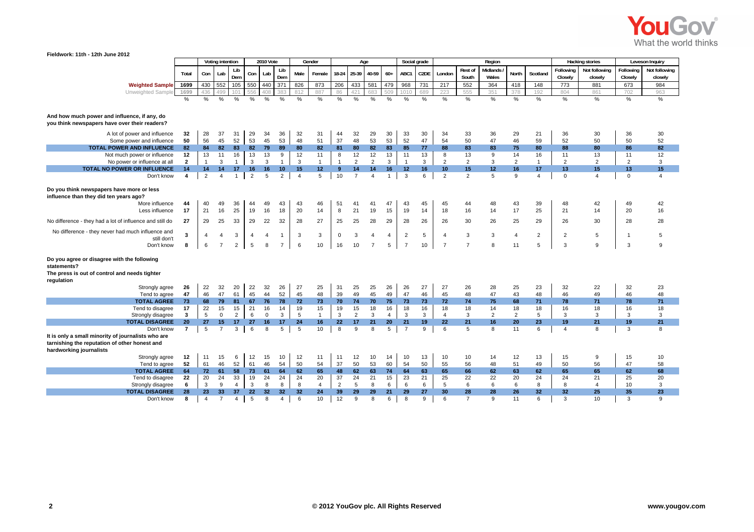

## **Fieldwork: 11th - 12th June 2012**

|                                                                                                                           |                | Voting intention |                   |                      |                | 2010 Vote         |                 |                | Gender               | Age            |                      |                |                | Social grade   |         |                      |                | Region               |                      |                |                 | <b>Hacking stories</b> | Leveson Inquiry |               |
|---------------------------------------------------------------------------------------------------------------------------|----------------|------------------|-------------------|----------------------|----------------|-------------------|-----------------|----------------|----------------------|----------------|----------------------|----------------|----------------|----------------|---------|----------------------|----------------|----------------------|----------------------|----------------|-----------------|------------------------|-----------------|---------------|
|                                                                                                                           |                |                  |                   | Lib                  |                |                   | Lib             |                |                      |                |                      |                |                |                |         |                      | Rest of        | Midlands             |                      |                | Following       | Not following          | Following       | Not following |
|                                                                                                                           | Total          | Con              | Lab               | Dem                  | Con            | Lab               | Dem             | Male           | Female               | 18-24          | 25-39                | 40-59          | $60+$          | ABC1           | C2DE    | London               | South          | Wales                | North                | Scotland       | Closely         | closely                | Closely         | closely       |
| <b>Weighted Sample</b>                                                                                                    | 1699           | 430              | 552               | 105                  | 550            | 440               | 371             | 826            | 873                  | 206            | 433                  | 581            | 479            | 968            | 731     | 217                  | 552            | 364                  | 418                  | 148            | 773             | 881                    | 673             | 984           |
| Unweighted Sample                                                                                                         | 1699           | 436              | 499               | 10 <sup>7</sup>      |                | 408               |                 | 812            | 887                  | 86             | 421                  | 683            | 509            | 1010           | 689     | 223                  | 555            | 351                  | 378                  | 192            | 804             | 861                    | 702             | 963           |
|                                                                                                                           | %              | %                | %                 | %                    | $\frac{0}{0}$  | %                 | %               | %              | %                    | %              | $\frac{0}{0}$        | %              | %              | %              | %       | %                    | %              | $\frac{0}{0}$        | %                    | %              | %               | %                      | %               | %             |
|                                                                                                                           |                |                  |                   |                      |                |                   |                 |                |                      |                |                      |                |                |                |         |                      |                |                      |                      |                |                 |                        |                 |               |
| And how much power and influence, if any, do<br>you think newspapers have over their readers?                             |                |                  |                   |                      |                |                   |                 |                |                      |                |                      |                |                |                |         |                      |                |                      |                      |                |                 |                        |                 |               |
| A lot of power and influence                                                                                              | 32             | 28               | 37                | 31                   | 29             | 34                | 36              | 32             | 31                   | 44             | 32                   | 29             | 30             | 33             | 30      | 34                   | 33             | 36                   | 29                   | 21             | 36              | 30                     | 36              | 30            |
| Some power and influence                                                                                                  | 50             | 56               | 45                | 52                   | 53             | 45                | 53              | 48             | 51                   | 37             | 48                   | 53             | 53             | 52             | 47      | 54                   | 50             | 47                   | 46                   | 59             | 52              | 50                     | 50              | 52            |
| TOTAL POWER AND INFLUENCE                                                                                                 | 82             | 84               | 82                | 83                   | 82             | 79                | 89              | 80             | 82                   | 81             | 80                   | 82             | 83             | 85             | 77      | 88                   | 83             | 83                   | 75                   | 80             | 88              | 80                     | 86              | 82            |
| Not much power or influence                                                                                               | 12             | 13               | 11                | 16                   | 13             | 13                | 9               | 12             | 11                   | 8              | 12                   | 12             | 13             | 11             | 13      | 8                    | 13             | 9                    | 14                   | 16             | 11              | 13                     | 11              | 12            |
| No power or influence at all                                                                                              | $\overline{2}$ | $\overline{1}$   | 3                 | $\mathbf{1}$         | 3              | 3                 | $\mathbf{1}$    | 3              | $\mathbf{1}$         | $\overline{1}$ | 2                    | $\overline{2}$ | 3              | $\overline{1}$ | 3       | $\overline{2}$       | $\overline{2}$ | 3                    | $\overline{2}$       | $\mathbf{1}$   | $\overline{2}$  | $\overline{2}$         | $\overline{2}$  | 3             |
| TOTAL NO POWER OR INFLUENCE                                                                                               | 14             | 14               | 14                | 17                   | 16             | 16                | 10 <sup>1</sup> | 15             | 12 <sup>2</sup>      | 9              | 14                   | 14             | 16             | 12             | 16      | 10 <sup>1</sup>      | 15             | 12 <sup>2</sup>      | 16                   | 17             | 13              | 15                     | 13              | 15            |
| Don't know                                                                                                                | 4              | $\overline{2}$   | $\overline{4}$    | $\mathbf{1}$         | $\overline{2}$ | 5                 | $\overline{2}$  | $\overline{4}$ | 5                    | 10             | $\overline{7}$       | $\overline{4}$ | $\mathbf{1}$   | 3              | 6       | $\overline{2}$       | $\overline{2}$ | 5                    | 9                    | $\overline{4}$ | $\mathbf 0$     | 4                      | $\mathbf 0$     | 4             |
| Do you think newspapers have more or less<br>influence than they did ten years ago?                                       |                |                  |                   |                      |                |                   |                 |                |                      |                |                      |                |                |                |         |                      |                |                      |                      |                |                 |                        |                 |               |
| More influence                                                                                                            | 44             | 40               | 49                | 36                   | 44             | 49                | 43              | 43             | 46                   | 51             | 41                   | 41             | 47             | 43             | 45      | 45                   | 44             | 48                   | 43                   | 39             | 48              | 42                     | 49              | 42            |
| Less influence                                                                                                            | 17             | 21               | 16                | 25                   | 19             | 16                | 18              | 20             | 14                   | 8              | 21                   | 19             | 15             | 19             | 14      | 18                   | 16             | 14                   | 17                   | 25             | 21              | 14                     | 20              | 16            |
| No difference - they had a lot of influence and still do                                                                  | 27             | 29               | 25                | 33                   | 29             | 22                | 32              | 28             | 27                   | 25             | 25                   | 28             | 29             | 28             | 26      | 26                   | 30             | 26                   | 25                   | 29             | 26              | 30                     | 28              | 28            |
| No difference - they never had much influence and                                                                         | 3              | 4                | 4                 | 3                    | $\overline{4}$ | $\overline{4}$    | $\overline{1}$  | 3              | 3                    | 0              | 3                    | $\overline{4}$ | $\overline{4}$ | $\overline{2}$ | 5       | $\overline{\bf{4}}$  | 3              | 3                    | $\overline{4}$       | $\overline{2}$ | $\overline{2}$  | 5                      |                 | 5             |
| still don't                                                                                                               |                |                  |                   |                      |                |                   |                 |                |                      |                |                      |                |                |                |         |                      |                |                      |                      |                |                 |                        |                 |               |
| Don't know                                                                                                                | 8              | 6                | -7                | $\overline{2}$       | 5              | 8                 | $\overline{7}$  | 6              | 10                   | 16             | 10                   | -7             | 5              | $\overline{7}$ | 10      | $\overline{7}$       | $\overline{7}$ | 8                    | 11                   | 5              | 3               | 9                      | 3               | 9             |
| Do you agree or disagree with the following<br>statements?<br>The press is out of control and needs tighter<br>regulation |                |                  |                   |                      |                |                   |                 |                |                      |                |                      |                |                |                |         |                      |                |                      |                      |                |                 |                        |                 |               |
| Strongly agree                                                                                                            | 26             | 22               | 32                | 20                   | 22             | 32                | 26              | 27             | 25                   | 31             | 25                   | 25             | 26             | 26             | 27      | 27                   | 26             | 28                   | 25                   | 23             | 32              | 22                     | 32              | 23            |
| Tend to agree                                                                                                             | 47             | 46               | 47                | 61                   | 45             | 44                | 52              | 45             | 48                   | 39             | 49                   | 45             | 49             | 47             | 46      | 45                   | 48             | 47                   | 43                   | 48             | 46              | 49                     | 46              | 48            |
| <b>TOTAL AGREE</b>                                                                                                        | 73             | 68               | 79                | 81                   | 67             | 76                | 78              | 72             | 73                   | 70             | 74                   | 70             | 75             | 73             | 73      | 72                   | 74             | 75                   | 68                   | 71             | 78              | 71                     | 78              | 71            |
| Tend to disagree                                                                                                          | 17<br>3        | 22<br>5          | 15<br>$\mathbf 0$ | 15<br>$\overline{2}$ | 21<br>6        | 16<br>$\mathbf 0$ | 14<br>3         | 19<br>5        | 15<br>$\overline{1}$ | 19<br>3        | 15<br>$\overline{2}$ | 18<br>3        | 16<br>4        | 18<br>3        | 16<br>3 | 18<br>$\overline{4}$ | 18<br>3        | 14<br>$\overline{2}$ | 18<br>$\overline{2}$ | 18<br>5        | 16<br>3         | 18<br>3                | 16<br>3         | 18<br>3       |
| Strongly disagree<br><b>TOTAL DISAGREE</b>                                                                                | 20             | 27               | 15                | 17                   | 27             | 16                | 17              | 24             | 16                   | 22             | 17                   | 21             | 20             | 21             | 19      | 22                   | 21             | 16                   | 20                   | 23             | 19              | 21                     | 19              | 21            |
| Don't know                                                                                                                | $\overline{7}$ | 5                | $\overline{7}$    | 3                    | 6              | 8                 | 5               | 5              | 10                   | 8              | 9                    | $\mathbf{a}$   | 5              | $\overline{7}$ | 9       | 6                    | 5              | 8                    | 11                   | 6              | $\overline{4}$  | 8                      | 3               | 8             |
| It is only a small minority of journalists who are                                                                        |                |                  |                   |                      |                |                   |                 |                |                      |                |                      |                |                |                |         |                      |                |                      |                      |                |                 |                        |                 |               |
| tarnishing the reputation of other honest and                                                                             |                |                  |                   |                      |                |                   |                 |                |                      |                |                      |                |                |                |         |                      |                |                      |                      |                |                 |                        |                 |               |
| hardworking journalists<br>Strongly agree                                                                                 | 12             | 11               | 15                | 6                    | 12             | 15                | 10              | 12             | 11                   | 11             | 12                   | 10             | 14             | 10             | 13      | 10                   | 10             | 14                   | 12                   | 13             | 15              | 9                      | 15              | 10            |
| Tend to agree                                                                                                             | 52             | 61               | 46                | 52                   | 61             | 46                | 54              | 50             | 54                   | 37             | 50                   | 53             | 60             | 54             | 50      | 55                   | 56             | 48                   | 51                   | 49             | 50              | 56                     | 47              | 58            |
| <b>TOTAL AGREE</b>                                                                                                        | 64             | 72               | 61                | 58                   | 73             | 61                | 64              | 62             | 65                   | 48             | 62                   | 63             | 74             | 64             | 63      | 65                   | 66             | 62                   | 63                   | 62             | 65              | 65                     | 62              | 68            |
| Tend to disagree                                                                                                          | 22             | 20               | 24                | 33                   | 19             | 24                | 24              | 24             | 20                   | 37             | 24                   | 21             | 15             | 23             | 21      | 25                   | 22             | 22                   | 20                   | 24             | 24              | 21                     | 25              | 20            |
| Strongly disagree                                                                                                         | 6              | 3                | 9                 | $\overline{4}$       | 3              | 8                 | 8               | 8              | $\overline{4}$       | $\overline{2}$ | 5                    | 8              | 6              | 6              | 6       | 5                    | 6              | 6                    | 6                    | 8              | 8               | $\overline{4}$         | 10              | 3             |
| <b>TOTAL DISAGREE</b>                                                                                                     | 28             | 23               | 33                | 37                   | 22             | 32 <sup>°</sup>   | 32 <sub>2</sub> | 32             | 24                   | 39             | 29                   | 29             | 21             | 29             | 27      | 30                   | 28             | 28                   | 26                   | 32             | 32 <sub>2</sub> | 25                     | 35              | 23            |
| Don't know                                                                                                                | 8              | $\overline{4}$   | $\overline{7}$    | $\overline{4}$       | 5              | 8                 | $\overline{4}$  | 6              | 10                   | 12             | 9                    | 8              | 6              | 8              | 9       | 6                    | $\overline{7}$ | 9                    | 11                   | 6              | 3               | 10                     | 3               | 9             |